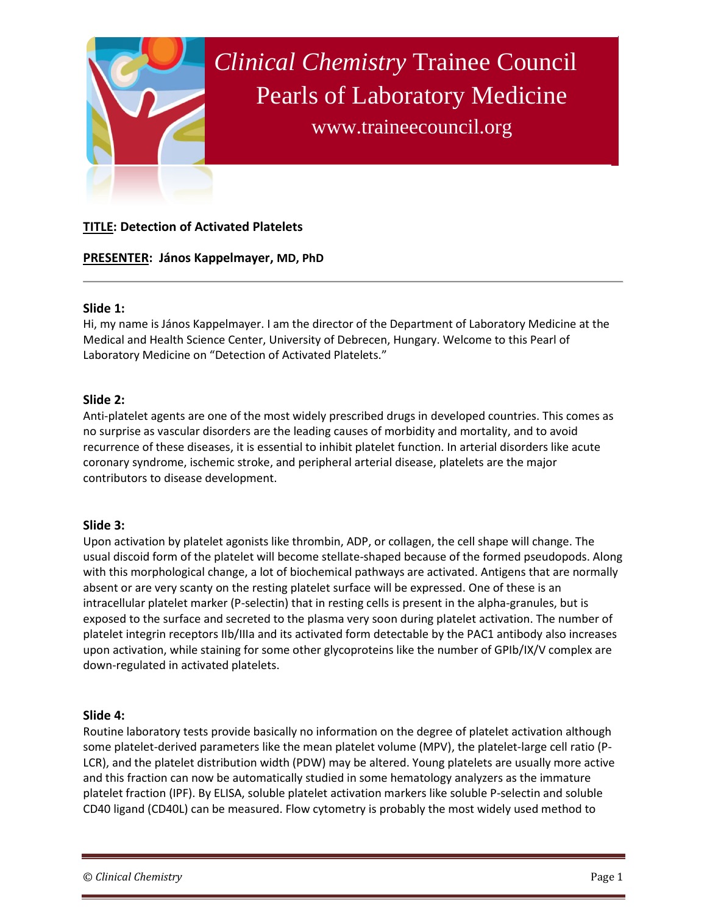

# **TITLE: Detection of Activated Platelets**

## **PRESENTER: János Kappelmayer, MD, PhD**

### **Slide 1:**

Hi, my name is János Kappelmayer. I am the director of the Department of Laboratory Medicine at the Medical and Health Science Center, University of Debrecen, Hungary. Welcome to this Pearl of Laboratory Medicine on "Detection of Activated Platelets."

### **Slide 2:**

Anti-platelet agents are one of the most widely prescribed drugs in developed countries. This comes as no surprise as vascular disorders are the leading causes of morbidity and mortality, and to avoid recurrence of these diseases, it is essential to inhibit platelet function. In arterial disorders like acute coronary syndrome, ischemic stroke, and peripheral arterial disease, platelets are the major contributors to disease development.

### **Slide 3:**

Upon activation by platelet agonists like thrombin, ADP, or collagen, the cell shape will change. The usual discoid form of the platelet will become stellate-shaped because of the formed pseudopods. Along with this morphological change, a lot of biochemical pathways are activated. Antigens that are normally absent or are very scanty on the resting platelet surface will be expressed. One of these is an intracellular platelet marker (P-selectin) that in resting cells is present in the alpha-granules, but is exposed to the surface and secreted to the plasma very soon during platelet activation. The number of platelet integrin receptors IIb/IIIa and its activated form detectable by the PAC1 antibody also increases upon activation, while staining for some other glycoproteins like the number of GPIb/IX/V complex are down-regulated in activated platelets.

### **Slide 4:**

Routine laboratory tests provide basically no information on the degree of platelet activation although some platelet-derived parameters like the mean platelet volume (MPV), the platelet-large cell ratio (P-LCR), and the platelet distribution width (PDW) may be altered. Young platelets are usually more active and this fraction can now be automatically studied in some hematology analyzers as the immature platelet fraction (IPF). By ELISA, soluble platelet activation markers like soluble P-selectin and soluble CD40 ligand (CD40L) can be measured. Flow cytometry is probably the most widely used method to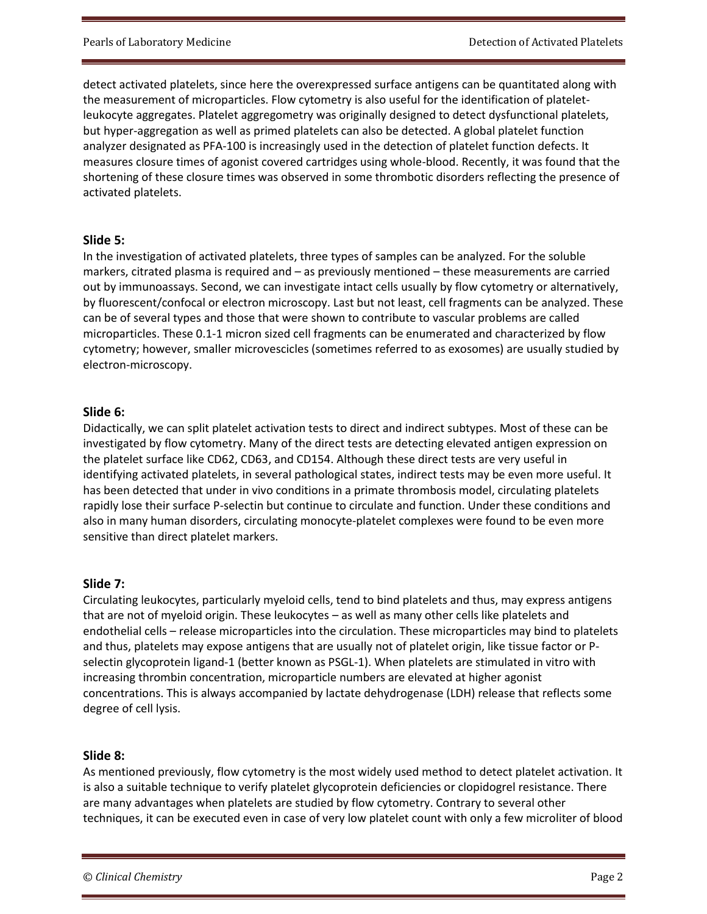detect activated platelets, since here the overexpressed surface antigens can be quantitated along with the measurement of microparticles. Flow cytometry is also useful for the identification of plateletleukocyte aggregates. Platelet aggregometry was originally designed to detect dysfunctional platelets, but hyper-aggregation as well as primed platelets can also be detected. A global platelet function analyzer designated as PFA-100 is increasingly used in the detection of platelet function defects. It measures closure times of agonist covered cartridges using whole-blood. Recently, it was found that the shortening of these closure times was observed in some thrombotic disorders reflecting the presence of activated platelets.

## **Slide 5:**

In the investigation of activated platelets, three types of samples can be analyzed. For the soluble markers, citrated plasma is required and – as previously mentioned – these measurements are carried out by immunoassays. Second, we can investigate intact cells usually by flow cytometry or alternatively, by fluorescent/confocal or electron microscopy. Last but not least, cell fragments can be analyzed. These can be of several types and those that were shown to contribute to vascular problems are called microparticles. These 0.1-1 micron sized cell fragments can be enumerated and characterized by flow cytometry; however, smaller microvescicles (sometimes referred to as exosomes) are usually studied by electron-microscopy.

## **Slide 6:**

Didactically, we can split platelet activation tests to direct and indirect subtypes. Most of these can be investigated by flow cytometry. Many of the direct tests are detecting elevated antigen expression on the platelet surface like CD62, CD63, and CD154. Although these direct tests are very useful in identifying activated platelets, in several pathological states, indirect tests may be even more useful. It has been detected that under in vivo conditions in a primate thrombosis model, circulating platelets rapidly lose their surface P-selectin but continue to circulate and function. Under these conditions and also in many human disorders, circulating monocyte-platelet complexes were found to be even more sensitive than direct platelet markers.

# **Slide 7:**

Circulating leukocytes, particularly myeloid cells, tend to bind platelets and thus, may express antigens that are not of myeloid origin. These leukocytes – as well as many other cells like platelets and endothelial cells – release microparticles into the circulation. These microparticles may bind to platelets and thus, platelets may expose antigens that are usually not of platelet origin, like tissue factor or Pselectin glycoprotein ligand-1 (better known as PSGL-1). When platelets are stimulated in vitro with increasing thrombin concentration, microparticle numbers are elevated at higher agonist concentrations. This is always accompanied by lactate dehydrogenase (LDH) release that reflects some degree of cell lysis.

# **Slide 8:**

As mentioned previously, flow cytometry is the most widely used method to detect platelet activation. It is also a suitable technique to verify platelet glycoprotein deficiencies or clopidogrel resistance. There are many advantages when platelets are studied by flow cytometry. Contrary to several other techniques, it can be executed even in case of very low platelet count with only a few microliter of blood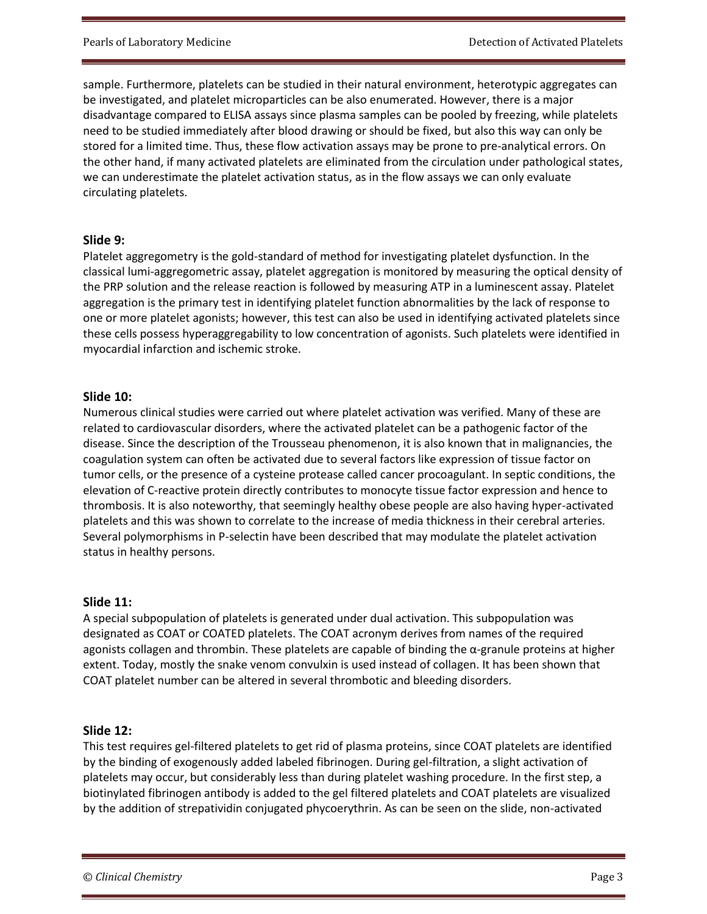sample. Furthermore, platelets can be studied in their natural environment, heterotypic aggregates can be investigated, and platelet microparticles can be also enumerated. However, there is a major disadvantage compared to ELISA assays since plasma samples can be pooled by freezing, while platelets need to be studied immediately after blood drawing or should be fixed, but also this way can only be stored for a limited time. Thus, these flow activation assays may be prone to pre-analytical errors. On the other hand, if many activated platelets are eliminated from the circulation under pathological states, we can underestimate the platelet activation status, as in the flow assays we can only evaluate circulating platelets.

### **Slide 9:**

Platelet aggregometry is the gold-standard of method for investigating platelet dysfunction. In the classical lumi-aggregometric assay, platelet aggregation is monitored by measuring the optical density of the PRP solution and the release reaction is followed by measuring ATP in a luminescent assay. Platelet aggregation is the primary test in identifying platelet function abnormalities by the lack of response to one or more platelet agonists; however, this test can also be used in identifying activated platelets since these cells possess hyperaggregability to low concentration of agonists. Such platelets were identified in myocardial infarction and ischemic stroke.

### **Slide 10:**

Numerous clinical studies were carried out where platelet activation was verified. Many of these are related to cardiovascular disorders, where the activated platelet can be a pathogenic factor of the disease. Since the description of the Trousseau phenomenon, it is also known that in malignancies, the coagulation system can often be activated due to several factors like expression of tissue factor on tumor cells, or the presence of a cysteine protease called cancer procoagulant. In septic conditions, the elevation of C-reactive protein directly contributes to monocyte tissue factor expression and hence to thrombosis. It is also noteworthy, that seemingly healthy obese people are also having hyper-activated platelets and this was shown to correlate to the increase of media thickness in their cerebral arteries. Several polymorphisms in P-selectin have been described that may modulate the platelet activation status in healthy persons.

### **Slide 11:**

A special subpopulation of platelets is generated under dual activation. This subpopulation was designated as COAT or COATED platelets. The COAT acronym derives from names of the required agonists collagen and thrombin. These platelets are capable of binding the α-granule proteins at higher extent. Today, mostly the snake venom convulxin is used instead of collagen. It has been shown that COAT platelet number can be altered in several thrombotic and bleeding disorders.

# **Slide 12:**

This test requires gel-filtered platelets to get rid of plasma proteins, since COAT platelets are identified by the binding of exogenously added labeled fibrinogen. During gel-filtration, a slight activation of platelets may occur, but considerably less than during platelet washing procedure. In the first step, a biotinylated fibrinogen antibody is added to the gel filtered platelets and COAT platelets are visualized by the addition of strepatividin conjugated phycoerythrin. As can be seen on the slide, non-activated